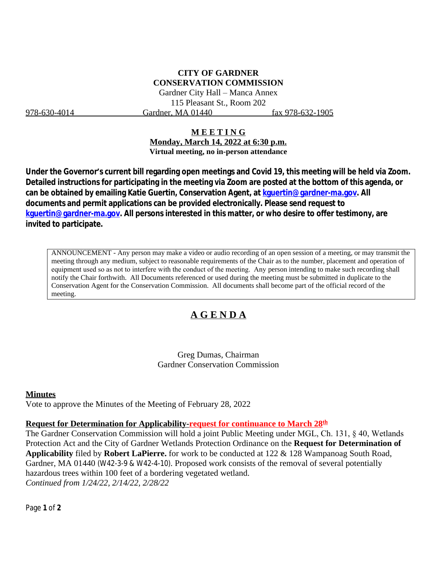## **CITY OF GARDNER CONSERVATION COMMISSION**

Gardner City Hall – Manca Annex 115 Pleasant St., Room 202 978-630-4014 Gardner, MA 01440 fax 978-632-1905

#### **M E E T I N G**

**Monday, March 14, 2022 at 6:30 p.m. Virtual meeting, no in-person attendance**

**Under the Governor's current bill regarding open meetings and Covid 19, this meeting will be held via Zoom. Detailed instructions for participating in the meeting via Zoom are posted at the bottom of this agenda, or can be obtained by emailing Katie Guertin, Conservation Agent, at [kguertin@gardner-ma.gov. All](mailto:kguertin@gardner-ma.gov)  [documents and permit applications can be provided electronically. Please send request to](mailto:kguertin@gardner-ma.gov)  [kguertin@gardner-ma.gov.](mailto:kguertin@gardner-ma.gov) All persons interested in this matter, or who desire to offer testimony, are invited to participate.**

ANNOUNCEMENT - Any person may make a video or audio recording of an open session of a meeting, or may transmit the meeting through any medium, subject to reasonable requirements of the Chair as to the number, placement and operation of equipment used so as not to interfere with the conduct of the meeting. Any person intending to make such recording shall notify the Chair forthwith. All Documents referenced or used during the meeting must be submitted in duplicate to the Conservation Agent for the Conservation Commission. All documents shall become part of the official record of the meeting.

## **A G E N D A**

Greg Dumas, Chairman Gardner Conservation Commission

#### **Minutes**

Vote to approve the Minutes of the Meeting of February 28, 2022

#### **Request for Determination for Applicability-request for continuance to March 28th**

The Gardner Conservation Commission will hold a joint Public Meeting under MGL, Ch. 131, § 40, Wetlands Protection Act and the City of Gardner Wetlands Protection Ordinance on the **Request for Determination of Applicability** filed by **Robert LaPierre.** for work to be conducted at 122 & 128 Wampanoag South Road, Gardner, MA 01440 (W42-3-9 & W42-4-10). Proposed work consists of the removal of several potentially hazardous trees within 100 feet of a bordering vegetated wetland. *Continued from 1/24/22, 2/14/22, 2/28/22*

Page **1** of **2**